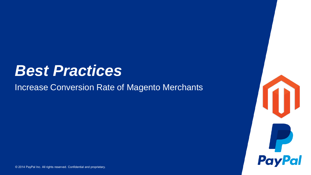## *Best Practices*

Increase Conversion Rate of Magento Merchants

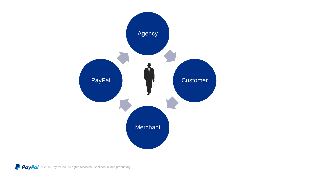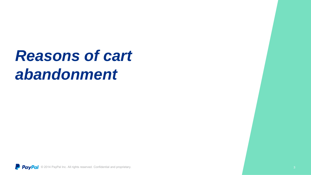## *Reasons of cart abandonment*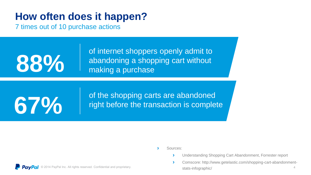#### **How often does it happen?**

7 times out of 10 purchase actions

of internet shoppers openly admit to abandoning a shopping cart without making a purchase

**88%**

**67%** of the shopping carts are abandoned right before the transaction is complete

- Sources:
	- Understanding Shopping Cart Abandonment, Forrester report
	- 4 Comscore: http://www.getelastic.com/shopping-cart-abandonmentstats-infographic/

2014 PayPal Inc. All rights reserved. Confidential and proprietary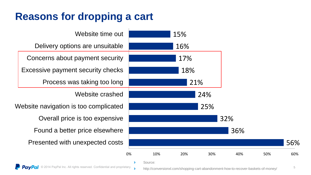#### **Reasons for dropping a cart**

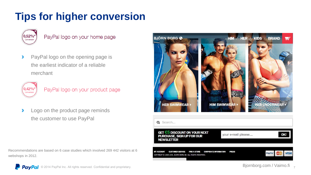

PayPal logo on your home page

PayPal logo on the opening page is  $\blacktriangleright$ the earliest indicator of a reliable merchant



PayPal logo on your product page

Logo on the product page reminds  $\blacktriangleright$ the customer to use PayPal

多数の **HER SWIMWEAR UNDERWEAR HIM SWIMWEAR K** Q Search... GET €5 DISCOUNT ON YOUR NEXT your e-mail please... OK! **PURCHASE, SIGN UP FOR OUR NEWSLETTER** CODDODATE INFODMATION PayPal **VISA** VRICHT @ 2004 2014 RIORN RORC AR AL

**BJÖRN BORG O** 



webshops in 2012.

© 2014 PayPal Inc. All rights reserved. Confidential and proprietary.

Recommendations are based on 6 case studies which involved 269 442 visitors at 6

Bjornborg.com / Vaimo.fi  $\overline{z}$ 

KIDS /

**BRAND** 

 $\blacksquare$ 

**HER**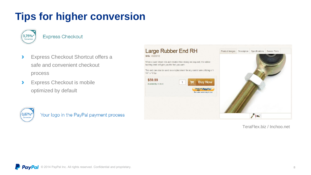**Express Checkout** 

- Express Checkout Shortcut offers a  $\blacktriangleright$ safe and convenient checkout process
- Express Checkout is mobile  $\blacktriangleright$ optimized by default



3,75% Conversion

Your logo in the PayPal payment process



TeraFlex.biz / Inchoo.net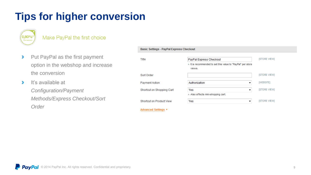0,80% Conversion

Make PayPal the first choice

- Put PayPal as the first payment  $\blacktriangleright$ option in the webshop and increase the conversion
- It's available at  $\blacktriangleright$ *Configuration/Payment Methods/Express Checkout/Sort Order*

| ▲ It is recommended to set this value to "PayPal" per store<br>views. |                     |
|-----------------------------------------------------------------------|---------------------|
|                                                                       |                     |
|                                                                       | <b>ISTORE VIEWI</b> |
| Authorization<br>▼                                                    | [WEBSITE]           |
| Yes<br>▼<br>Also affects mini-shopping cart.                          | <b>ISTORE VIEWI</b> |
| Yes<br>▼                                                              | <b>ISTORE VIEWI</b> |
|                                                                       |                     |

**Basic Settings - PayPal Express Checkout**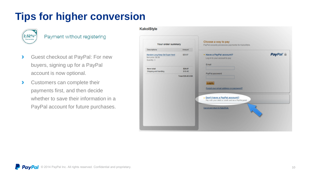

#### Payment without registering

- Guest checkout at PayPal: For new  $\blacktriangleright$ buyers, signing up for a PayPal account is now optional.
- Customers can complete their  $\blacktriangleright$ payments first, and then decide whether to save their information in a PayPal account for future purchases.

| Your order summary                                                         |                          | Choose a way to pay<br>PayPal securely processes payments for KakoiStyle. |                     |  |
|----------------------------------------------------------------------------|--------------------------|---------------------------------------------------------------------------|---------------------|--|
| Descriptions                                                               | Amount                   |                                                                           |                     |  |
| Mandom Long Keep Gel Super Hard<br><b>Bem price: \$6.99</b><br>Quantity: 3 | \$20.97                  | - Have a PayPal account?<br>Log in to your account to pay                 | PayPal <sup>®</sup> |  |
| <b>Item total</b>                                                          | \$20.97                  | Email                                                                     |                     |  |
| Shipping and handling                                                      | \$18.48                  | PayPal password                                                           |                     |  |
|                                                                            | <b>Total \$39.45 USD</b> | Login                                                                     |                     |  |
|                                                                            |                          | Forgot your email address or password?<br>Don't have a PayPal account?    |                     |  |
|                                                                            |                          | Pay with your debt or credit card as a PayPal guest                       |                     |  |
|                                                                            |                          | Cancel and return to KakoShrie.                                           |                     |  |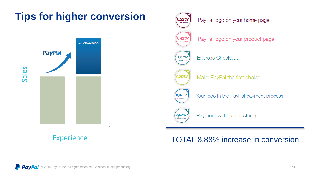



#### Experience TOTAL 8.88% increase in conversion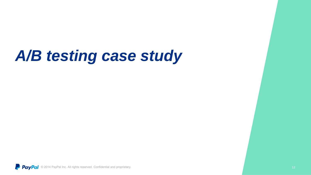# *A/B testing case study*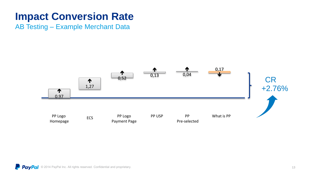#### **Impact Conversion Rate**

AB Testing – Example Merchant Data

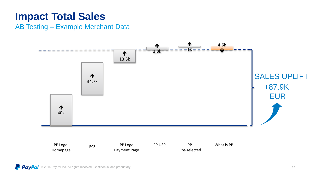## **Impact Total Sales**

AB Testing – Example Merchant Data